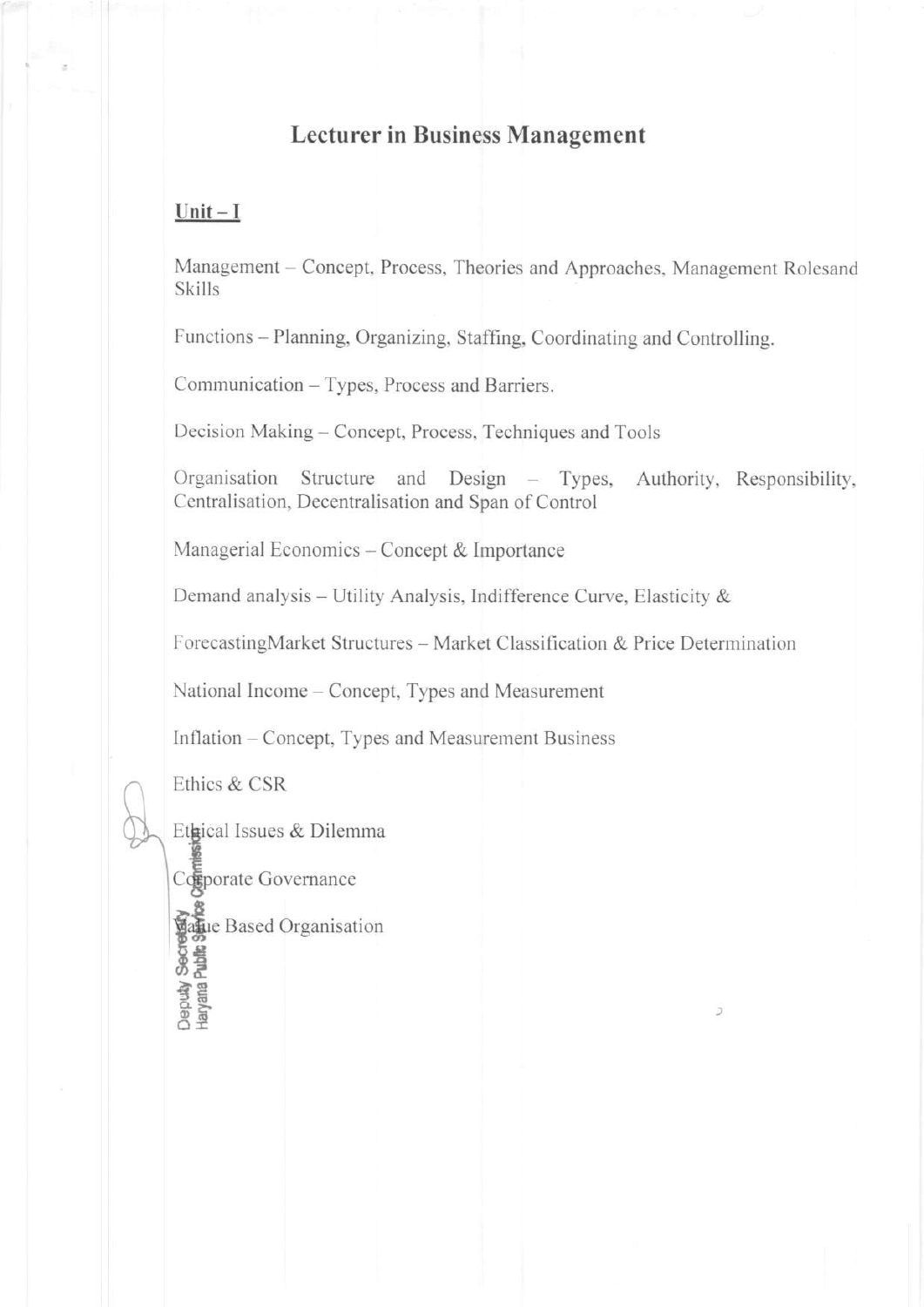# **Lecturer in Business Management**

## Unit  $-I$

Management – Concept, Process, Theories and Approaches, Management Rolesand Skills

Functions – Planning, Organizing, Staffing, Coordinating and Controlling.

Communication – Types, Process and Barriers.

Decision Making - Concept, Process, Techniques and Tools

Organisation Structure and Design - Types, Authority, Responsibility, Centralisation, Decentralisation and Span of Control

Managerial Economics – Concept & Importance

Demand analysis - Utility Analysis, Indifference Curve, Elasticity &

ForecastingMarket Structures – Market Classification & Price Determination

National Income – Concept, Types and Measurement

Inflation – Concept, Types and Measurement Business

Ethics & CSR

Ethical Issues & Dilemma

Coporate Governance **Straite**<br>**Based Organisation**<br>**So Based**<br>**Based**<br>**Based**<br>**Based**<br>**Based**<br>**Based**<br>**Based**<br>**Based**<br>**Based**<br>**Based**<br>**Based**<br>**Based**<br>**Based**<br>**Based**<br>**Based**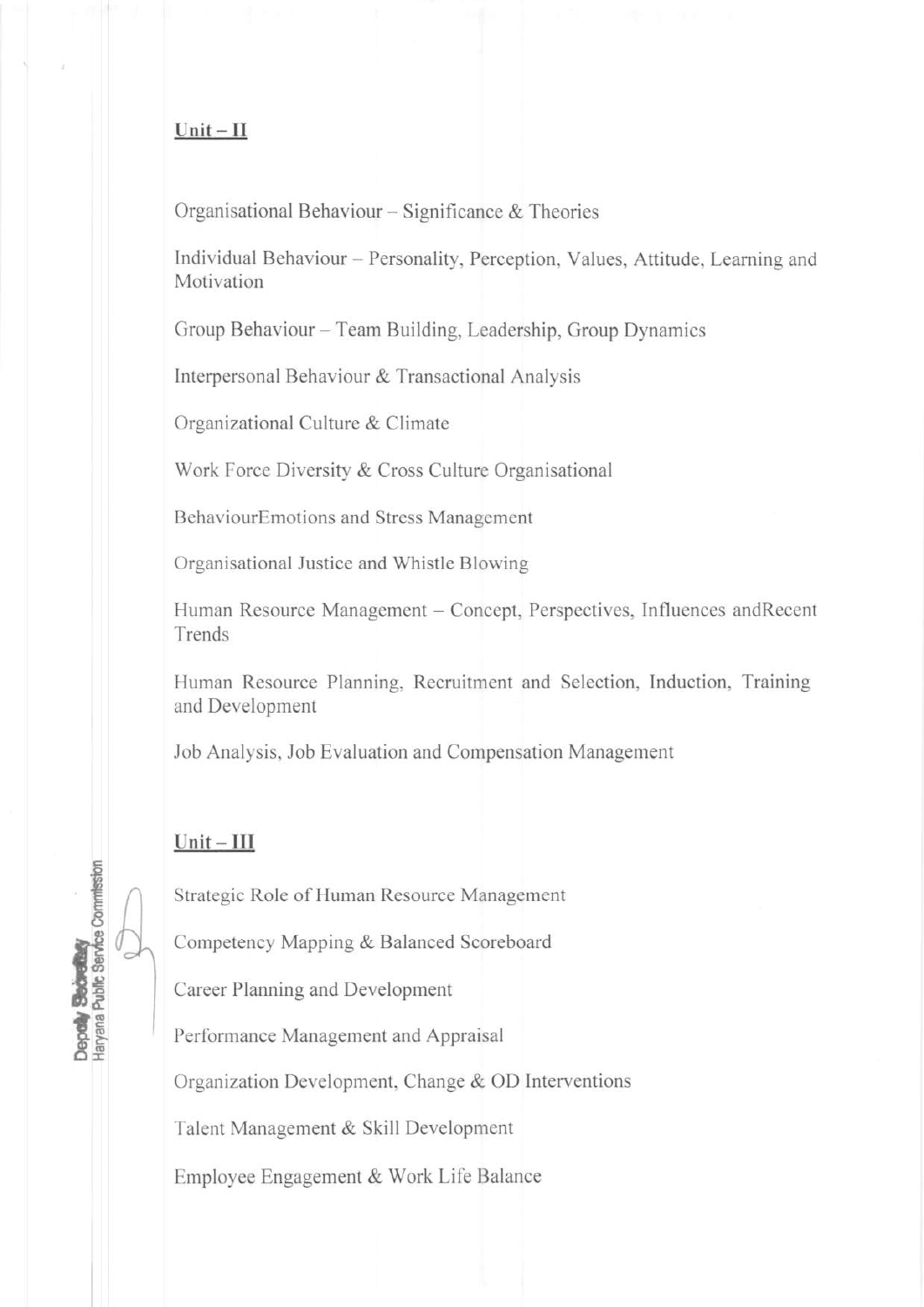## $Unit - II$

Organisational Behaviour – Significance  $&$  Theories

lndividual Behaviour - Personality, Perceptior, Values, Attitude, Leaming and Motivation

Group Behaviour – Team Building, Leadership, Group Dynamics

Interpersonal Behaviour & Transactional Analysis

Organizational Culture & Climate

Work Force Diversity & Cross Culture Organisational

BehaviourEmotions and Stress Management

Organisational Justice and Whistle Blowing

Human Resource Management - Concept, Perspectives, Influences andRecent Trends

Human Resource Planning, Recruitment and Selection, Induction, Training and Development

Job Analysis, Job Evaluation and Compensation Management

## $Unit - III$

 $D_1$ 

millsstor

BOIRD 56 TF

EE

Strategic Role of Human Resource Management

Competency Mapping & Balanced Scoreboard

Career Planning and Development

Performance Management and Appraisal

Organization Development, Change & OD lnterventions

Talent Management & Skill Development

Employee Engagement & Work Life Balance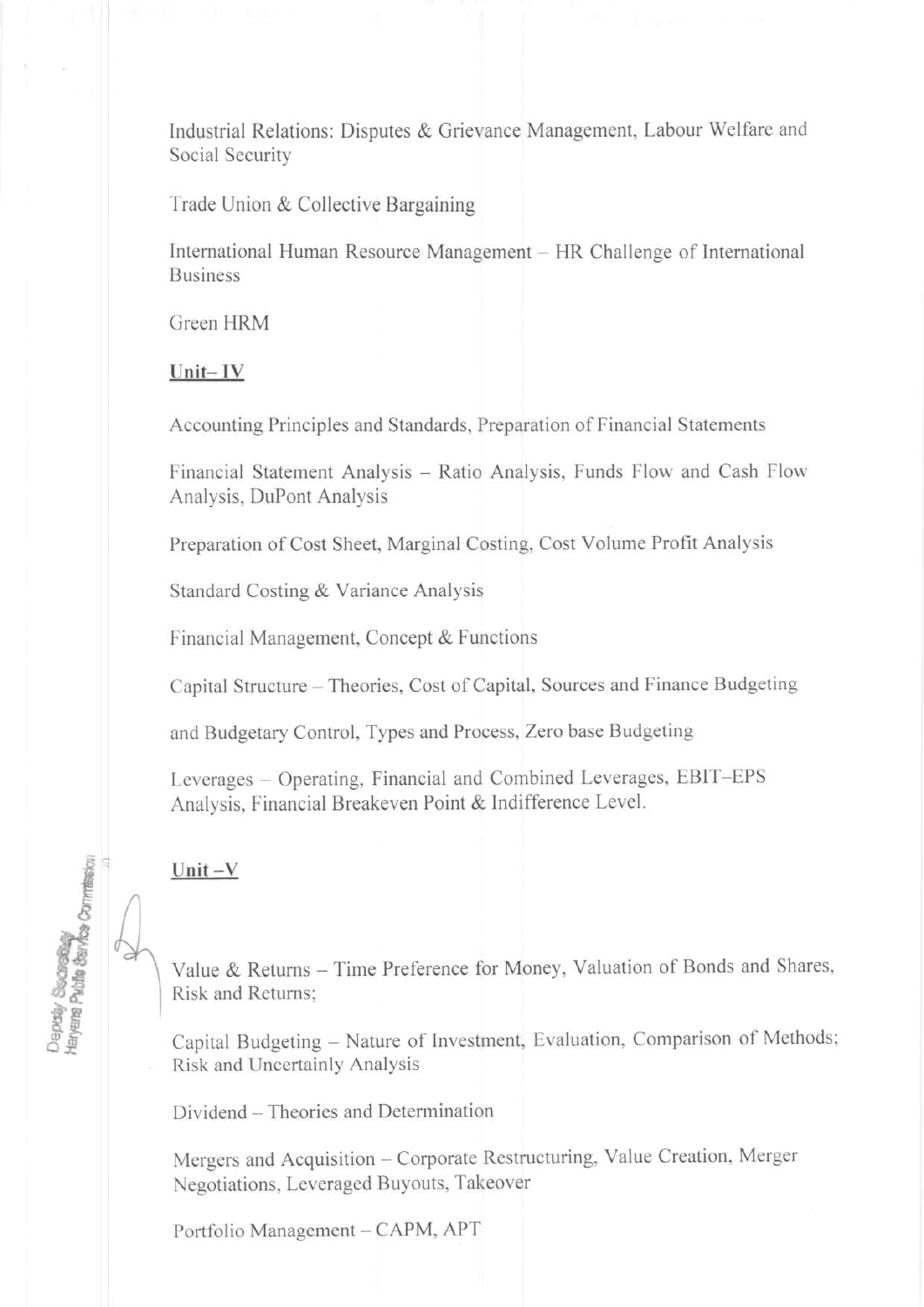Industrial Relations: Disputes & Grievance Management, Labour Welfare and Social Security

Trade Union & Collective Bargaining

International Human Resource Management – HR Challenge of International **Business** 

Green HRM

Unit-IV

Accounting Principles and Standards, Preparation of Financial Statements

Financial Statement Analysis - Ratio Analysis, Funds Flow and Cash Flow Analysis, DuPont Analysis

Preparation of Cost Sheet, Marginal Costing, Cost Volume Profit Analysis

Standard Costing & Variance Analysis

Financial Management, Concept & Functions

Capital Structure - Theories, Cost of Capital, Sources and Finance Budgeting

and Budgetary Control, Types and Process, Zero base Budgeting

Leverages – Operating, Financial and Combined Leverages, EBIT-EPS Analysis, Financial Breakeven Point & Indifference Level.

# Unit $-V$

Depaiy Sacraing<br>Haryana Public Sarks Commission

Value & Returns - Time Preference for Money, Valuation of Bonds and Shares, Risk and Returns:

Capital Budgeting - Nature of Investment, Evaluation, Comparison of Methods; Risk and Uncertainly Analysis

Dividend – Theories and Determination

Mergers and Acquisition - Corporate Restructuring, Value Creation, Merger Negotiations, Leveraged Buyouts, Takeover

Portfolio Management - CAPM, APT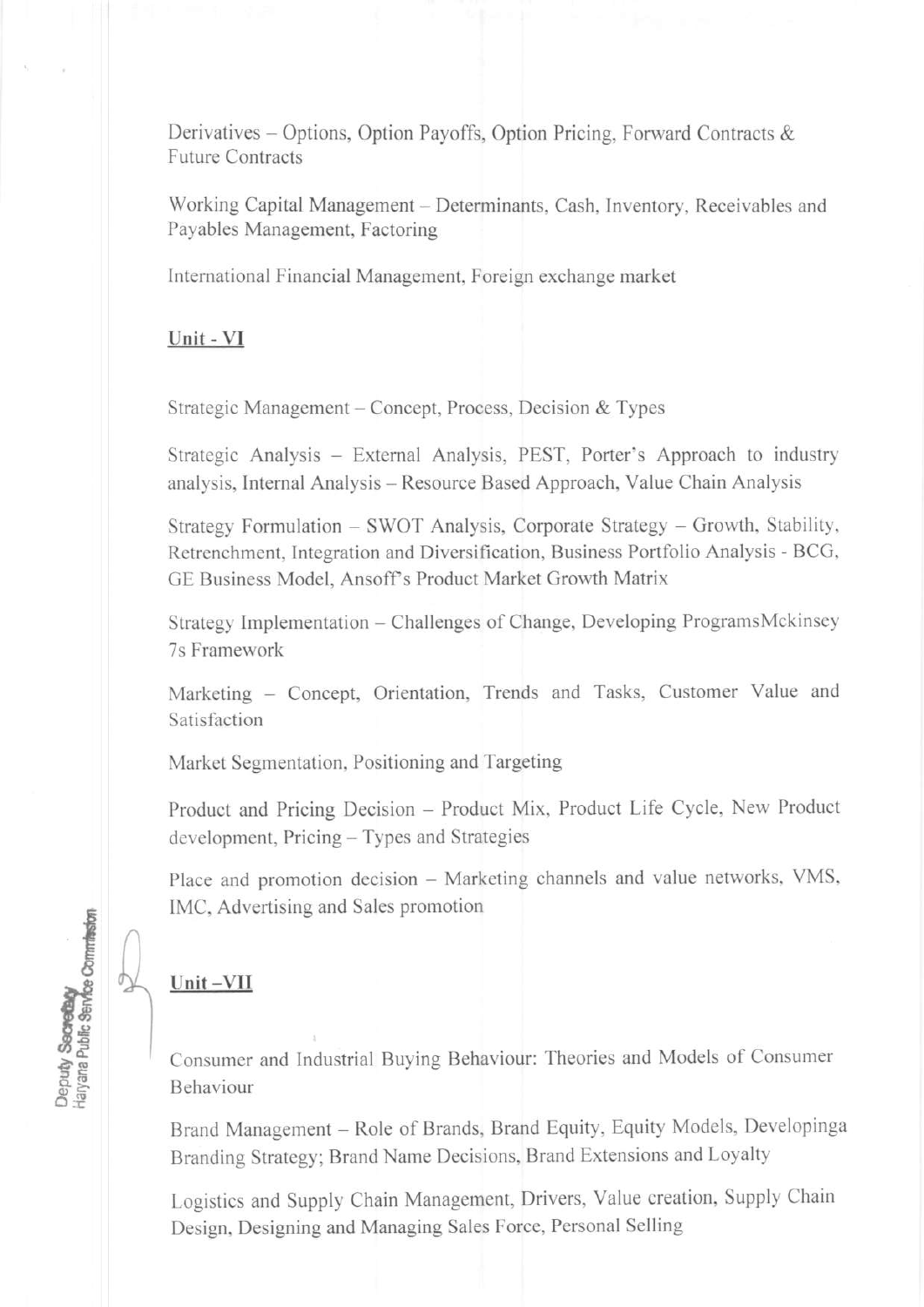Derivatives - Options, Option Payoffs, Option Pricing, Forward Contracts & Future Contracts

Working Capital Management - Determinants, Cash, Inventory, Receivables and Payables Management, Factoring

International Financial Management, Foreign cxchange market

Unit - VI

Strategic Management - Concept, Process, Decision & Types

Strategic Analysis – External Analysis, PEST, Porter's Approach to industry analysis, Intemal Analysis - Resource Based Approach, Value Chain Analysis

Strategy Formulation – SWOT Analysis, Corporate Strategy – Growth, Stability, Retrenchment, Integration and Diversification, Business Portfolio Analysis - BCG, GE Business Model, Ansoff's Product Market Growth Matrix

Strategy Implementation - Challenges of Change, Developing ProgramsMckinsey 7s Framework

Marketing - Concept, Orientation, Trends and Tasks, Customer Value and Satisfaction

Market Segmentation, Positioning and Targeting

Product and Pricing Decision - Product Mix, Product Life Cycle, New Product development, Pricing - Types and Strategies

Place and promotion decision - Marketing channels and value networks, VMS, IMC, Advertising and Sales promotion

# Unit-VII

 $\frac{1}{2}$ 

rty Secretary<br>The Public Service Commit<br>Department

apa<br>Man

Consumer and lndustrial Buying Behaviour: Theories and Models of Consumer Behaviour

Brand Management - Role of Brands, Brand Equity, Equity Models, Developinga Branding Strategy; Brand Name Decisions, Brand Extensions and Loyalty

Logistics and Supply Chain Management, Drivers, Value creation, Supply Chain Design, Designing and Managing Sales Force, Personal Selling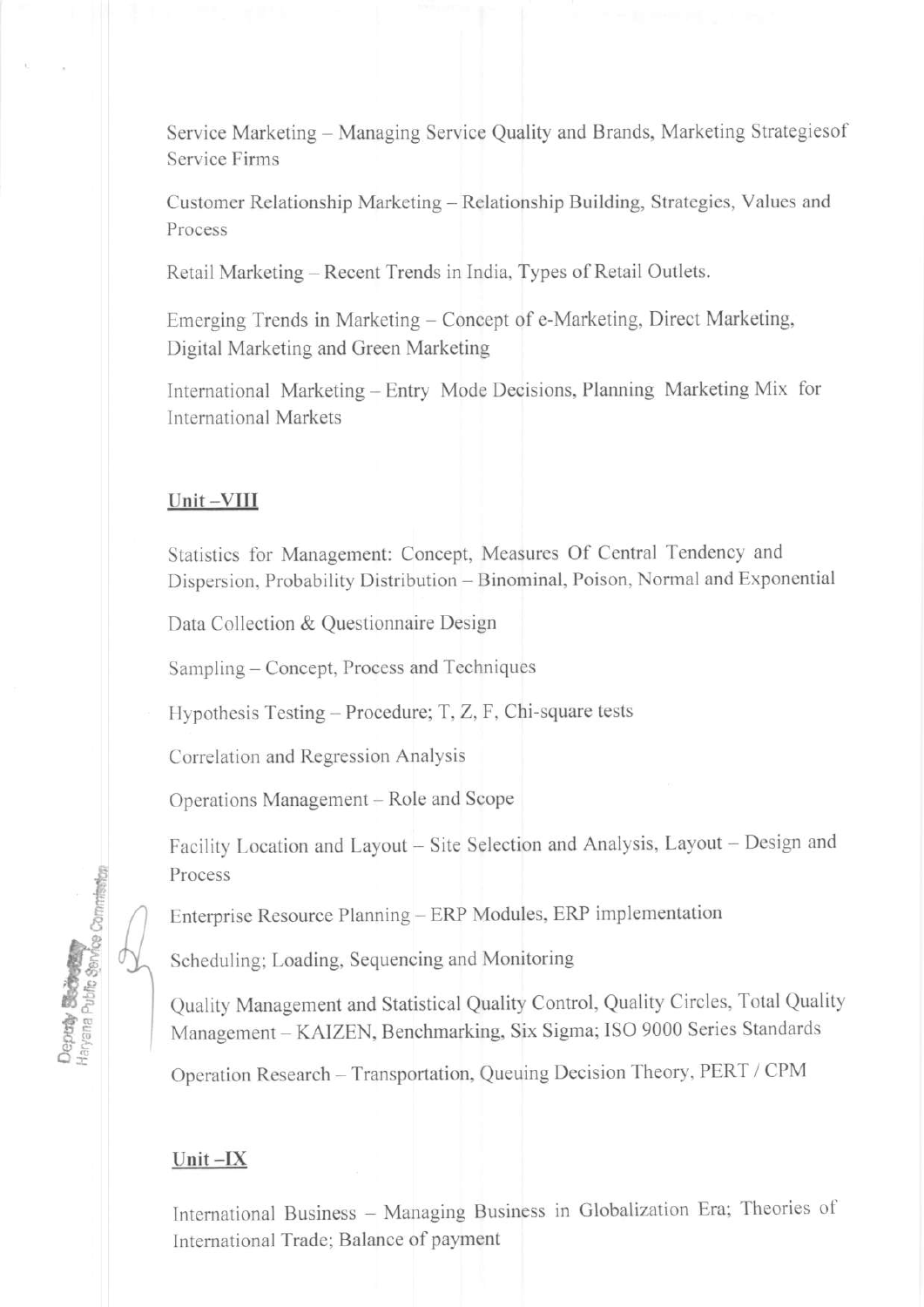Service Marketing - Managing Service Quality and Brands, Marketing Strategiesof Service Firms

Customer Relationship Marketing - Relationship Building, Strategies, Values and Process

Retail Marketing – Recent Trends in India, Types of Retail Outlets.

Emerging Trends in Marketing - Concept of e-Marketing, Direct Marketing. Digital Marketing and Green Marketing

Intemational Marketing - Entry Mode Decisions, Planning Marketing Mix for lntemational Markets

#### Unit-VIII

Statistics for Management: Concept, Measures Of Central Tendency and Dispersion, Probability Distribution - Binominal, Poison, Normal and Exponential

Data Collection & Questionnaire Design

Sampling – Concept, Process and Techniques

Hypothesis Testing - Procedure; T, Z, F, Chi-square tests

Correlation and Regression Analysis

Operations Management – Role and Scope

Facility Location and Layout - Site Selection and Analysis, Layout - Design and Process

Enterprise Resource Planning – ERP Modules, ERP implementation

Scheduling; Loading, Sequencing and Monitoring

Quality Management and Statistical Quality Contol, Quality Circles, Total Quality Management - KAIZEN, Benchmarking, Six Sigma; ISO 9000 Series Standards

Operation Research - Transportation, Queuing Decision Theory, PERT / CPM

### $Unit -IX$

€ ē

**Branch** 

n**tay**<br>Gina Ph

International Business - Managing Business in Globalization Era; Theories of International Trade; Balance of payment